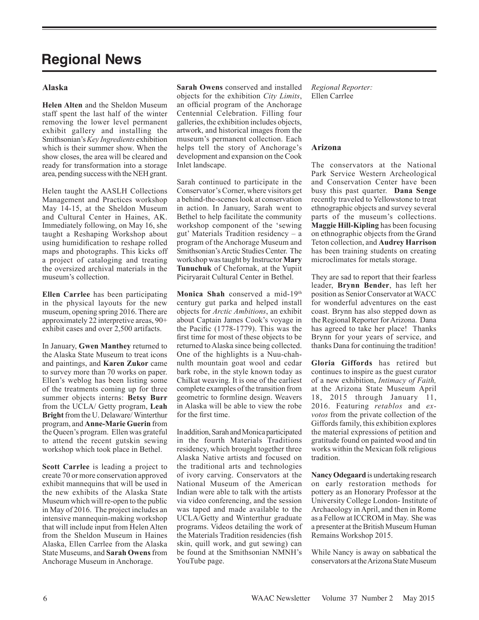# **Regional News**

# **Alaska**

**Helen Alten** and the Sheldon Museum staff spent the last half of the winter removing the lower level permanent exhibit gallery and installing the Smithsonian's *Key Ingredients* exhibition which is their summer show. When the show closes, the area will be cleared and ready for transformation into a storage area, pending success with the NEH grant.

Helen taught the AASLH Collections Management and Practices workshop May 14-15, at the Sheldon Museum and Cultural Center in Haines, AK. Immediately following, on May 16, she taught a Reshaping Workshop about using humidification to reshape rolled maps and photographs. This kicks off a project of cataloging and treating the oversized archival materials in the museum's collection.

**Ellen Carrlee** has been participating in the physical layouts for the new museum, opening spring 2016. There are approximately 22 interpretive areas, 90+ exhibit cases and over 2,500 artifacts.

In January, **Gwen Manthey** returned to the Alaska State Museum to treat icons and paintings, and **Karen Zukor** came to survey more than 70 works on paper. Ellen's weblog has been listing some of the treatments coming up for three summer objects interns: **Betsy Burr** from the UCLA/ Getty program, **Leah Bright** from the U. Delaware/ Winterthur program, and **Anne-Marie Guerin** from the Queen's program. Ellen was grateful to attend the recent gutskin sewing workshop which took place in Bethel.

**Scott Carrlee** is leading a project to create 70 or more conservation approved exhibit mannequins that will be used in the new exhibits of the Alaska State Museum which will re-open to the public in May of 2016. The project includes an intensive mannequin-making workshop that will include input from Helen Alten from the Sheldon Museum in Haines Alaska, Ellen Carrlee from the Alaska State Museums, and **Sarah Owens** from Anchorage Museum in Anchorage.

**Sarah Owens** conserved and installed objects for the exhibition *City Limits*, an official program of the Anchorage Centennial Celebration. Filling four galleries, the exhibition includes objects, artwork, and historical images from the museum's permanent collection. Each helps tell the story of Anchorage's development and expansion on the Cook Inlet landscape.

Sarah continued to participate in the Conservator's Corner, where visitors get a behind-the-scenes look at conservation in action. In January, Sarah went to Bethel to help facilitate the community workshop component of the 'sewing gut' Materials Tradition residency – a program of the Anchorage Museum and Smithsonian's Arctic Studies Center. The workshop was taught by Instructor **Mary Tunuchuk** of Chefornak, at the Yupiit Piciryarait Cultural Center in Bethel.

Monica Shah conserved a mid-19th century gut parka and helped install objects for *Arctic Ambitions*, an exhibit about Captain James Cook's voyage in the Pacific (1778-1779). This was the first time for most of these objects to be returned to Alaska since being collected. One of the highlights is a Nuu-chahnulth mountain goat wool and cedar bark robe, in the style known today as Chilkat weaving. It is one of the earliest complete examples of the transition from geometric to formline design. Weavers in Alaska will be able to view the robe for the first time.

In addition, Sarah and Monica participated in the fourth Materials Traditions residency, which brought together three Alaska Native artists and focused on the traditional arts and technologies of ivory carving. Conservators at the National Museum of the American Indian were able to talk with the artists via video conferencing, and the session was taped and made available to the UCLA/Getty and Winterthur graduate programs. Videos detailing the work of the Materials Tradition residencies (fish skin, quill work, and gut sewing) can be found at the Smithsonian NMNH's YouTube page.

*Regional Reporter:* Ellen Carrlee

## **Arizona**

The conservators at the National Park Service Western Archeological and Conservation Center have been busy this past quarter. **Dana Senge** recently traveled to Yellowstone to treat ethnographic objects and survey several parts of the museum's collections. **Maggie Hill-Kipling** has been focusing on ethnographic objects from the Grand Teton collection, and **Audrey Harrison** has been training students on creating microclimates for metals storage.

They are sad to report that their fearless leader, **Brynn Bender**, has left her position as Senior Conservator at WACC for wonderful adventures on the east coast. Brynn has also stepped down as the Regional Reporter for Arizona. Dana has agreed to take her place! Thanks Brynn for your years of service, and thanks Dana for continuing the tradition!

**Gloria Giffords** has retired but continues to inspire as the guest curator of a new exhibition, *Intimacy of Faith,*  at the Arizona State Museum April 18, 2015 through January 11, 2016. Featuring *retablos* and *exvotos* from the private collection of the Giffords family, this exhibition explores the material expressions of petition and gratitude found on painted wood and tin works within the Mexican folk religious tradition.

**Nancy Odegaard** is undertaking research on early restoration methods for pottery as an Honorary Professor at the University College London- Institute of Archaeology in April, and then in Rome as a Fellow at ICCROM in May. She was a presenter at the British Museum Human Remains Workshop 2015.

While Nancy is away on sabbatical the conservators at the Arizona State Museum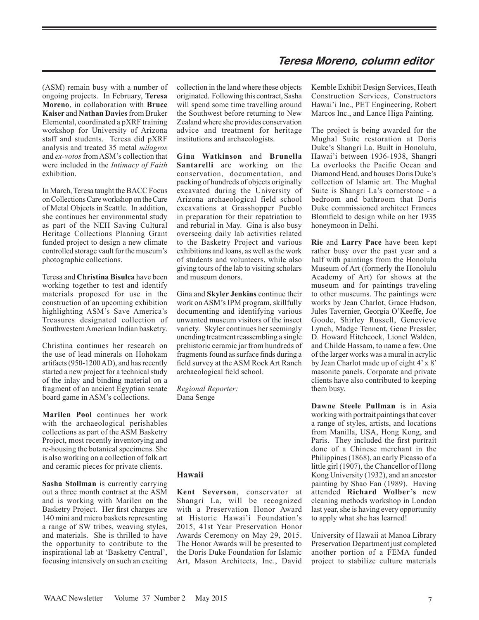(ASM) remain busy with a number of ongoing projects. In February, **Teresa Moreno**, in collaboration with **Bruce Kaiser** and **Nathan Davies** from Bruker Elemental, coordinated a pXRF training workshop for University of Arizona staff and students. Teresa did pXRF analysis and treated 35 metal *milagros* and *ex-votos* from ASM's collection that were included in the *Intimacy of Faith* exhibition.

In March, Teresa taught the BACC Focus on Collections Care workshop on the Care of Metal Objects in Seattle. In addition, she continues her environmental study as part of the NEH Saving Cultural Heritage Collections Planning Grant funded project to design a new climate controlled storage vault for the museum's photographic collections.

Teresa and **Christina Bisulca** have been working together to test and identify materials proposed for use in the construction of an upcoming exhibition highlighting ASM's Save America's Treasures designated collection of Southwestern American Indian basketry.

Christina continues her research on the use of lead minerals on Hohokam artifacts (950-1200 AD), and has recently started a new project for a technical study of the inlay and binding material on a fragment of an ancient Egyptian senate board game in ASM's collections.

**Marilen Pool** continues her work with the archaeological perishables collections as part of the ASM Basketry Project, most recently inventorying and re-housing the botanical specimens. She is also working on a collection of folk art and ceramic pieces for private clients.

**Sasha Stollman** is currently carrying out a three month contract at the ASM and is working with Marilen on the Basketry Project. Her first charges are 140 mini and micro baskets representing a range of SW tribes, weaving styles, and materials. She is thrilled to have the opportunity to contribute to the inspirational lab at 'Basketry Central', focusing intensively on such an exciting collection in the land where these objects originated. Following this contract, Sasha will spend some time travelling around the Southwest before returning to New Zealand where she provides conservation advice and treatment for heritage institutions and archaeologists.

**Gina Watkinson** and **Brunella Santarelli** are working on the conservation, documentation, and packing of hundreds of objects originally excavated during the University of Arizona archaeological field school excavations at Grasshopper Pueblo in preparation for their repatriation to and reburial in May. Gina is also busy overseeing daily lab activities related to the Basketry Project and various exhibitions and loans, as well as the work of students and volunteers, while also giving tours of the lab to visiting scholars and museum donors.

Gina and **Skyler Jenkins** continue their work on ASM's IPM program, skillfully documenting and identifying various unwanted museum visitors of the insect variety. Skyler continues her seemingly unending treatment reassembling a single prehistoric ceramic jar from hundreds of fragments found as surface finds during a field survey at the ASM Rock Art Ranch archaeological field school.

*Regional Reporter:* Dana Senge

## **Hawaii**

**Kent Severson**, conservator at Shangri La, will be recognized with a Preservation Honor Award at Historic Hawai'i Foundation's 2015, 41st Year Preservation Honor Awards Ceremony on May 29, 2015. The Honor Awards will be presented to the Doris Duke Foundation for Islamic Art, Mason Architects, Inc., David Kemble Exhibit Design Services, Heath Construction Services, Constructors Hawai'i Inc., PET Engineering, Robert Marcos Inc., and Lance Higa Painting.

The project is being awarded for the Mughal Suite restoration at Doris Duke's Shangri La. Built in Honolulu, Hawai'i between 1936-1938, Shangri La overlooks the Pacific Ocean and Diamond Head, and houses Doris Duke's collection of Islamic art. The Mughal Suite is Shangri La's cornerstone - a bedroom and bathroom that Doris Duke commissioned architect Frances Blomfield to design while on her 1935 honeymoon in Delhi.

**Rie** and **Larry Pace** have been kept rather busy over the past year and a half with paintings from the Honolulu Museum of Art (formerly the Honolulu Academy of Art) for shows at the museum and for paintings traveling to other museums. The paintings were works by Jean Charlot, Grace Hudson, Jules Tavernier, Georgia O'Keeffe, Joe Goode, Shirley Russell, Genevieve Lynch, Madge Tennent, Gene Pressler, D. Howard Hitchcock, Lionel Walden, and Childe Hassam, to name a few. One of the larger works was a mural in acrylic by Jean Charlot made up of eight 4' x 8' masonite panels. Corporate and private clients have also contributed to keeping them busy.

**Dawne Steele Pullman** is in Asia working with portrait paintings that cover a range of styles, artists, and locations from Manilla, USA, Hong Kong, and Paris. They included the first portrait done of a Chinese merchant in the Philippines (1868), an early Picasso of a little girl (1907), the Chancellor of Hong Kong University (1932), and an ancestor painting by Shao Fan (1989). Having attended **Richard Wolber's** new cleaning methods workshop in London last year, she is having every opportunity to apply what she has learned!

University of Hawaii at Manoa Library Preservation Department just completed another portion of a FEMA funded project to stabilize culture materials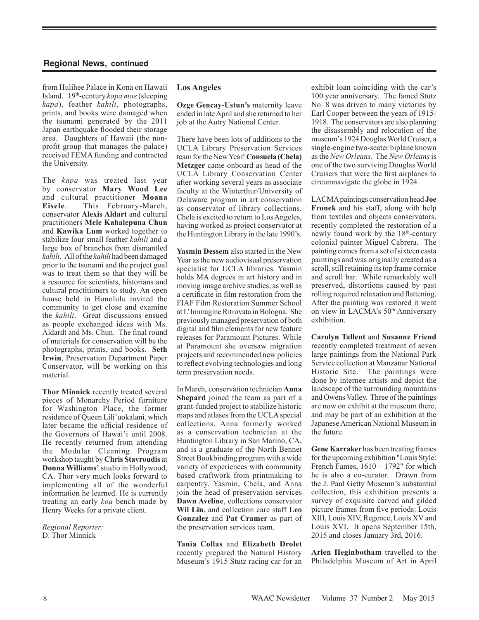from Hulihee Palace in Kona on Hawaii Island. 19<sup>th</sup>-century *kapa moe* (sleeping *kapa*), feather *kahili*, photographs, prints, and books were damaged when the tsunami generated by the 2011 Japan earthquake flooded their storage area. Daughters of Hawaii (the nonprofit group that manages the palace) received FEMA funding and contracted the University.

The *kapa* was treated last year by conservator **Mary Wood Lee** and cultural practitioner **Moana Eisele**. This February-March, conservator **Alexis Aldart** and cultural practitioners **Mele Kahalepuna Chun** and **Kawika Lum** worked together to stabilize four small feather *kahili* and a large box of branches from dismantled *kahili*. All of the *kahili* had been damaged prior to the tsunami and the project goal was to treat them so that they will be a resource for scientists, historians and cultural practitioners to study. An open house held in Honolulu invited the community to get close and examine the *kahili*. Great discussions ensued as people exchanged ideas with Ms. Aldardt and Ms. Chun. The final round of materials for conservation will be the photographs, prints, and books. **Seth Irwin**, Preservation Department Paper Conservator, will be working on this material.

**Thor Minnick** recently treated several pieces of Monarchy Period furniture for Washington Place, the former residence of Queen Lili'uokalani, which later became the official residence of the Governors of Hawai'i until 2008. He recently returned from attending the Modular Cleaning Program workshop taught by **Chris Stavroudis** at **Donna Williams'** studio in Hollywood, CA. Thor very much looks forward to implementing all of the wonderful information he learned. He is currently treating an early *koa* bench made by Henry Weeks for a private client.

*Regional Reporter:* D. Thor Minnick

#### **Los Angeles**

**Ozge Gencay-Ustun's** maternity leave ended in late April and she returned to her job at the Autry National Center.

There have been lots of additions to the UCLA Library Preservation Services team for the New Year! **Consuela (Chela) Metzger** came onboard as head of the UCLA Library Conservation Center after working several years as associate faculty at the Winterthur/University of Delaware program in art conservation as conservator of library collections. Chela is excited to return to Los Angeles, having worked as project conservator at the Huntington Library in the late 1990's.

**Yasmin Dessem** also started in the New Year as the new audiovisual preservation specialist for UCLA libraries. Yasmin holds MA degrees in art history and in moving image archive studies, as well as a certificate in film restoration from the FIAF Film Restoration Summer School at L'Immagine Ritrovata in Bologna. She previously managed preservation of both digital and film elements for new feature releases for Paramount Pictures. While at Paramount she oversaw migration projects and recommended new policies to reflect evolving technologies and long term preservation needs.

In March, conservation technician **Anna Shepard** joined the team as part of a grant-funded project to stabilize historic maps and atlases from the UCLA special collections. Anna formerly worked as a conservation technician at the Huntington Library in San Marino, CA, and is a graduate of the North Bennet Street Bookbinding program with a wide variety of experiences with community based craftwork from printmaking to carpentry. Yasmin, Chela, and Anna join the head of preservation services **Dawn Aveline**, collections conservator **Wil Lin**, and collection care staff **Leo Gonzalez** and **Pat Cramer** as part of the preservation services team.

**Tania Collas** and **Elizabeth Drolet**  recently prepared the Natural History Museum's 1915 Stutz racing car for an exhibit loan coinciding with the car's 100 year anniversary. The famed Stutz No. 8 was driven to many victories by Earl Cooper between the years of 1915- 1918. The conservators are also planning the disassembly and relocation of the museum's 1924 Douglas World Cruiser, a single-engine two-seater biplane known as the *New Orleans*. The *New Orleans* is one of the two surviving Douglas World Cruisers that were the first airplanes to circumnavigate the globe in 1924.

LACMA paintings conservation head **Joe Fronek** and his staff, along with help from textiles and objects conservators, recently completed the restoration of a newly found work by the  $18<sup>th</sup>$ -century colonial painter Miguel Cabrera. The painting comes from a set of sixteen casta paintings and was originally created as a scroll, still retaining its top frame cornice and scroll bar. While remarkably well preserved, distortions caused by past rolling required relaxation and flattening. After the painting was restored it went on view in LACMA's 50<sup>th</sup> Anniversary exhibition.

**Carolyn Tallent** and **Susanne Friend**  recently completed treatment of seven large paintings from the National Park Service collection at Manzanar National Historic Site. The paintings were done by internee artists and depict the landscape of the surrounding mountains and Owens Valley. Three of the paintings are now on exhibit at the museum there, and may be part of an exhibition at the Japanese American National Museum in the future.

**Gene Karraker** has been treating frames for the upcoming exhibition "Louis Style: French Fames,  $1610 - 1792$ " for which he is also a co-curator. Drawn from the J. Paul Getty Museum's substantial collection, this exhibition presents a survey of exquisite carved and gilded picture frames from five periods: Louis XIII, Louis XIV, Regence, Louis XV and Louis XVI. It opens September 15th, 2015 and closes January 3rd, 2016.

**Arlen Heginbotham** travelled to the Philadelphia Museum of Art in April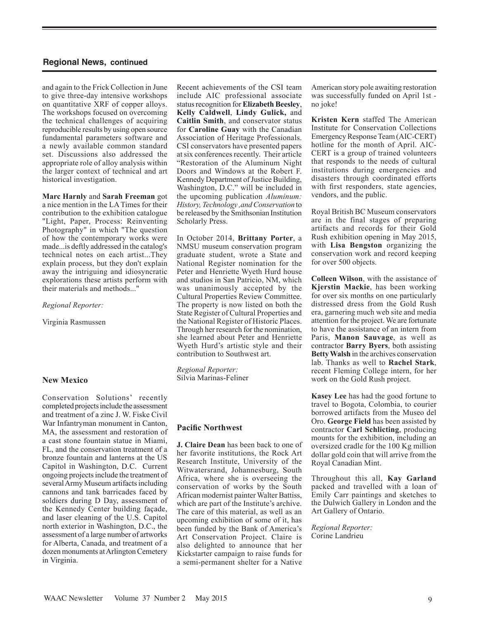and again to the Frick Collection in June to give three-day intensive workshops on quantitative XRF of copper alloys. The workshops focused on overcoming the technical challenges of acquiring reproducible results by using open source fundamental parameters software and a newly available common standard set. Discussions also addressed the appropriate role of alloy analysis within the larger context of technical and art historical investigation.

**Marc Harnly** and **Sarah Freeman** got a nice mention in the LA Times for their contribution to the exhibition catalogue "Light, Paper, Process: Reinventing Photography" in which "The question of how the contemporary works were made...is deftly addressed in the catalog's technical notes on each artist...They explain process, but they don't explain away the intriguing and idiosyncratic explorations these artists perform with their materials and methods..."

#### *Regional Reporter:*

Virginia Rasmussen

#### **New Mexico**

Conservation Solutions' recently completed projects include the assessment and treatment of a zinc J. W. Fiske Civil War Infantryman monument in Canton, MA, the assessment and restoration of a cast stone fountain statue in Miami, FL, and the conservation treatment of a bronze fountain and lanterns at the US Capitol in Washington, D.C. Current ongoing projects include the treatment of several Army Museum artifacts including cannons and tank barricades faced by soldiers during D Day, assessment of the Kennedy Center building façade, and laser cleaning of the U.S. Capitol north exterior in Washington, D.C., the assessment of a large number of artworks for Alberta, Canada, and treatment of a dozen monuments at Arlington Cemetery in Virginia.

Recent achievements of the CSI team include AIC professional associate status recognition for **Elizabeth Beesley**, **Kelly Caldwell**, **Lindy Gulick,** and **Caitlin Smith**, and conservator status for **Caroline Guay** with the Canadian Association of Heritage Professionals. CSI conservators have presented papers at six conferences recently. Their article "Restoration of the Aluminum Night Doors and Windows at the Robert F. Kennedy Department of Justice Building, Washington, D.C." will be included in the upcoming publication *Aluminum: History, Technology ,and Conservation* to be released by the Smithsonian Institution Scholarly Press.

In October 2014, **Brittany Porter**, a NMSU museum conservation program graduate student, wrote a State and National Register nomination for the Peter and Henriette Wyeth Hurd house and studios in San Patricio, NM, which was unanimously accepted by the Cultural Properties Review Committee. The property is now listed on both the State Register of Cultural Properties and the National Register of Historic Places. Through her research for the nomination, she learned about Peter and Henriette Wyeth Hurd's artistic style and their contribution to Southwest art.

*Regional Reporter:* Silvia Marinas-Feliner

#### **Pacific Northwest**

**J. Claire Dean** has been back to one of her favorite institutions, the Rock Art Research Institute, University of the Witwatersrand, Johannesburg, South Africa, where she is overseeing the conservation of works by the South African modernist painter Walter Battiss, which are part of the Institute's archive. The care of this material, as well as an upcoming exhibition of some of it, has been funded by the Bank of America's Art Conservation Project. Claire is also delighted to announce that her Kickstarter campaign to raise funds for a semi-permanent shelter for a Native American story pole awaiting restoration was successfully funded on April 1st no joke!

**Kristen Kern** staffed The American Institute for Conservation Collections Emergency Response Team (AIC-CERT) hotline for the month of April. AIC-CERT is a group of trained volunteers that responds to the needs of cultural institutions during emergencies and disasters through coordinated efforts with first responders, state agencies, vendors, and the public.

Royal British BC Museum conservators are in the final stages of preparing artifacts and records for their Gold Rush exhibition opening in May 2015, with **Lisa Bengston** organizing the conservation work and record keeping for over 500 objects.

**Colleen Wilson**, with the assistance of **Kjerstin Mackie**, has been working for over six months on one particularly distressed dress from the Gold Rush era, garnering much web site and media attention for the project. We are fortunate to have the assistance of an intern from Paris, **Manon Sauvage**, as well as contractor **Barry Byers**, both assisting **Betty Walsh** in the archives conservation lab. Thanks as well to **Rachel Stark**, recent Fleming College intern, for her work on the Gold Rush project.

**Kasey Lee** has had the good fortune to travel to Bogota, Colombia, to courier borrowed artifacts from the Museo del Oro. **George Field** has been assisted by contractor **Carl Schlicting**, producing mounts for the exhibition, including an oversized cradle for the 100 Kg million dollar gold coin that will arrive from the Royal Canadian Mint.

Throughout this all, **Kay Garland**  packed and travelled with a loan of Emily Carr paintings and sketches to the Dulwich Gallery in London and the Art Gallery of Ontario.

*Regional Reporter:* Corine Landrieu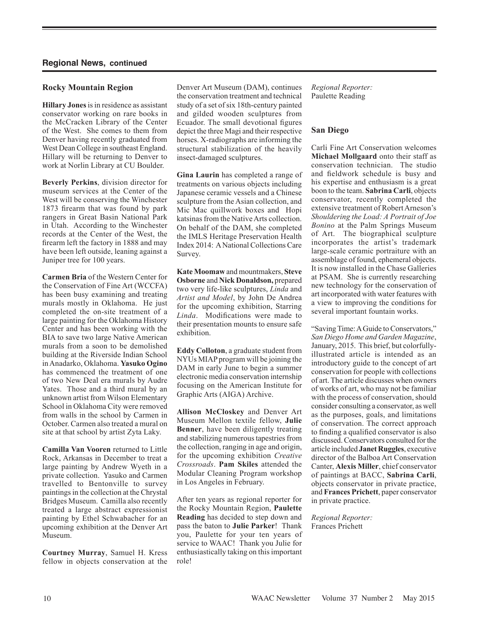## **Rocky Mountain Region**

**Hillary Jones** is in residence as assistant conservator working on rare books in the McCracken Library of the Center of the West. She comes to them from Denver having recently graduated from West Dean College in southeast England. Hillary will be returning to Denver to work at Norlin Library at CU Boulder.

**Beverly Perkins**, division director for museum services at the Center of the West will be conserving the Winchester 1873 firearm that was found by park rangers in Great Basin National Park in Utah. According to the Winchester records at the Center of the West, the firearm left the factory in 1888 and may have been left outside, leaning against a Juniper tree for 100 years.

**Carmen Bria** of the Western Center for the Conservation of Fine Art (WCCFA) has been busy examining and treating murals mostly in Oklahoma. He just completed the on-site treatment of a large painting for the Oklahoma History Center and has been working with the BIA to save two large Native American murals from a soon to be demolished building at the Riverside Indian School in Anadarko, Oklahoma. **Yasuko Ogino** has commenced the treatment of one of two New Deal era murals by Audre Yates. Those and a third mural by an unknown artist from Wilson Elementary School in Oklahoma City were removed from walls in the school by Carmen in October. Carmen also treated a mural on site at that school by artist Zyta Laky.

**Camilla Van Vooren** returned to Little Rock, Arkansas in December to treat a large painting by Andrew Wyeth in a private collection. Yasuko and Carmen travelled to Bentonville to survey paintings in the collection at the Chrystal Bridges Museum. Camilla also recently treated a large abstract expressionist painting by Ethel Schwabacher for an upcoming exhibition at the Denver Art Museum.

**Courtney Murray**, Samuel H. Kress fellow in objects conservation at the Denver Art Museum (DAM), continues the conservation treatment and technical study of a set of six 18th-century painted and gilded wooden sculptures from Ecuador. The small devotional figures depict the three Magi and their respective horses. X-radiographs are informing the structural stabilization of the heavily insect-damaged sculptures.

**Gina Laurin** has completed a range of treatments on various objects including Japanese ceramic vessels and a Chinese sculpture from the Asian collection, and Mic Mac quillwork boxes and Hopi katsinas from the Native Arts collection. On behalf of the DAM, she completed the IMLS Heritage Preservation Health Index 2014: A National Collections Care Survey.

**Kate Moomaw** and mountmakers, **Steve Osborne** and **Nick Donaldson,** prepared two very life-like sculptures, *Linda* and *Artist and Model*, by John De Andrea for the upcoming exhibition, Starring *Linda*. Modifications were made to their presentation mounts to ensure safe exhibition.

**Eddy Colloton**, a graduate student from NYUs MIAP program will be joining the DAM in early June to begin a summer electronic media conservation internship focusing on the American Institute for Graphic Arts (AIGA) Archive.

**Allison McCloskey** and Denver Art Museum Mellon textile fellow, **Julie Benner**, have been diligently treating and stabilizing numerous tapestries from the collection, ranging in age and origin, for the upcoming exhibition *Creative Crossroads*. **Pam Skiles** attended the Modular Cleaning Program workshop in Los Angeles in February.

After ten years as regional reporter for the Rocky Mountain Region, **Paulette Reading** has decided to step down and pass the baton to **Julie Parker**! Thank you, Paulette for your ten years of service to WAAC! Thank you Julie for enthusiastically taking on this important role!

*Regional Reporter:* Paulette Reading

## **San Diego**

Carli Fine Art Conservation welcomes **Michael Mollgaard** onto their staff as conservation technician. The studio and fieldwork schedule is busy and his expertise and enthusiasm is a great boon to the team. **Sabrina Carli**, objects conservator, recently completed the extensive treatment of Robert Arneson's *Shouldering the Load: A Portrait of Joe Bonino* at the Palm Springs Museum of Art. The biographical sculpture incorporates the artist's trademark large-scale ceramic portraiture with an assemblage of found, ephemeral objects. It is now installed in the Chase Galleries at PSAM. She is currently researching new technology for the conservation of art incorporated with water features with a view to improving the conditions for several important fountain works.

"Saving Time: A Guide to Conservators," *San Diego Home and Garden Magazine*, January, 2015. This brief, but colorfullyillustrated article is intended as an introductory guide to the concept of art conservation for people with collections of art. The article discusses when owners of works of art, who may not be familiar with the process of conservation, should consider consulting a conservator, as well as the purposes, goals, and limitations of conservation. The correct approach to finding a qualified conservator is also discussed. Conservators consulted for the article included **Janet Ruggles**, executive director of the Balboa Art Conservation Canter, **Alexis Miller**, chief conservator of paintings at BACC, **Sabrina Carli**, objects conservator in private practice, and **Frances Prichett**, paper conservator in private practice.

*Regional Reporter:* Frances Prichett